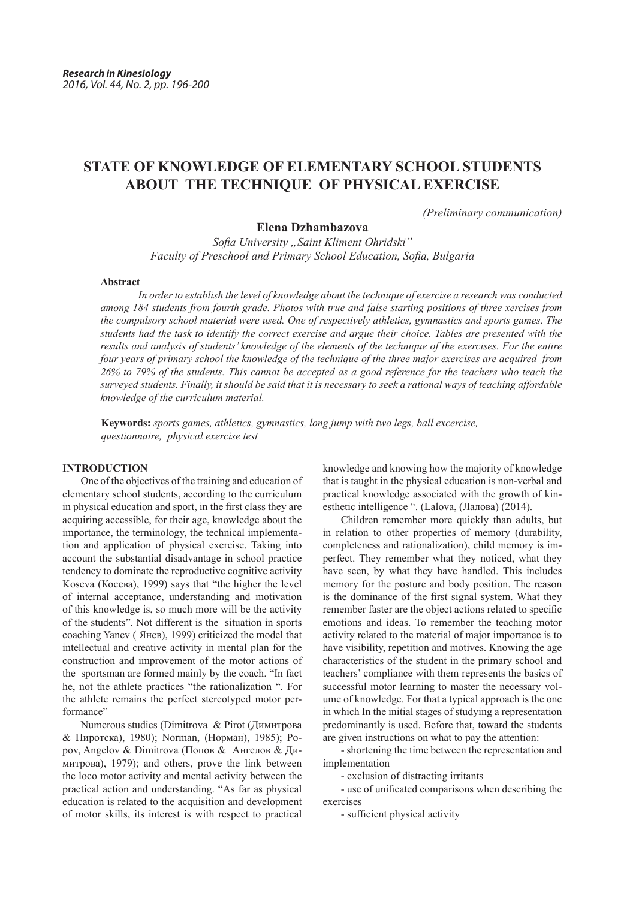# **STATE OF KNOWLEDGE OF ELEMENTARY SCHOOL STUDENTS ABOUT THE TECHNIQUE OF PHYSICAL EXERCISE**

*(Preliminary communication)*

# **Elena Dzhambazova**

*Sofia University "Saint Kliment Ohridski" Faculty of Preschool and Primary School Education, Sofia, Bulgaria*

#### **Abstract**

*In order to establish the level of knowledge about the technique of exercise a research was conducted among 184 students from fourth grade. Photos with true and false starting positions of three xercises from the compulsory school material were used. One of respectively athletics, gymnastics and sports games. The students had the task to identify the correct exercise and argue their choice. Tables are presented with the results and analysis of students' knowledge of the elements of the technique of the exercises. For the entire four years of primary school the knowledge of the technique of the three major exercises are acquired from 26% to 79% of the students. This cannot be accepted as a good reference for the teachers who teach the surveyed students. Finally, it should be said that it is necessary to seek a rational ways of teaching affordable knowledge of the curriculum material.*

**Keywords:** *sports games, athletics, gymnastics, long jump with two legs, ball excercise, questionnaire, physical exercise test*

# **INTRODUCTION**

One of the objectives of the training and education of elementary school students, according to the curriculum in physical education and sport, in the first class they are acquiring accessible, for their age, knowledge about the importance, the terminology, the technical implementation and application of physical exercise. Taking into account the substantial disadvantage in school practice tendency to dominate the reproductive cognitive activity Koseva (Косева), 1999) says that "the higher the level of internal acceptance, understanding and motivation of this knowledge is, so much more will be the activity of the students". Not different is the situation in sports coaching Yanev ( Янев), 1999) criticized the model that intellectual and creative activity in mental plan for the construction and improvement of the motor actions of the sportsman are formed mainly by the coach. "In fact he, not the athlete practices "the rationalization ". For the athlete remains the perfect stereotyped motor performance"

Numerous studies (Dimitrova & Pirot (Димитрова & Пиротска), 1980); Norman, (Норман), 1985); Popov, Angelov & Dimitrova (Попов &Ангелов & Димитрова), 1979); and others, prove the link between the loco motor activity and mental activity between the practical action and understanding. "As far as physical education is related to the acquisition and development of motor skills, its interest is with respect to practical knowledge and knowing how the majority of knowledge that is taught in the physical education is non-verbal and practical knowledge associated with the growth of kinesthetic intelligence ". (Lalova, (Лалова) (2014).

Children remember more quickly than adults, but in relation to other properties of memory (durability, completeness and rationalization), child memory is imperfect. They remember what they noticed, what they have seen, by what they have handled. This includes memory for the posture and body position. The reason is the dominance of the first signal system. What they remember faster are the object actions related to specific emotions and ideas. To remember the teaching motor activity related to the material of major importance is to have visibility, repetition and motives. Knowing the age characteristics of the student in the primary school and teachers' compliance with them represents the basics of successful motor learning to master the necessary volume of knowledge. For that a typical approach is the one in which In the initial stages of studying a representation predominantly is used. Before that, toward the students are given instructions on what to pay the attention:

- shortening the time between the representation and implementation

- exclusion of distracting irritants

- use of unificated comparisons when describing the exercises

- sufficient physical activity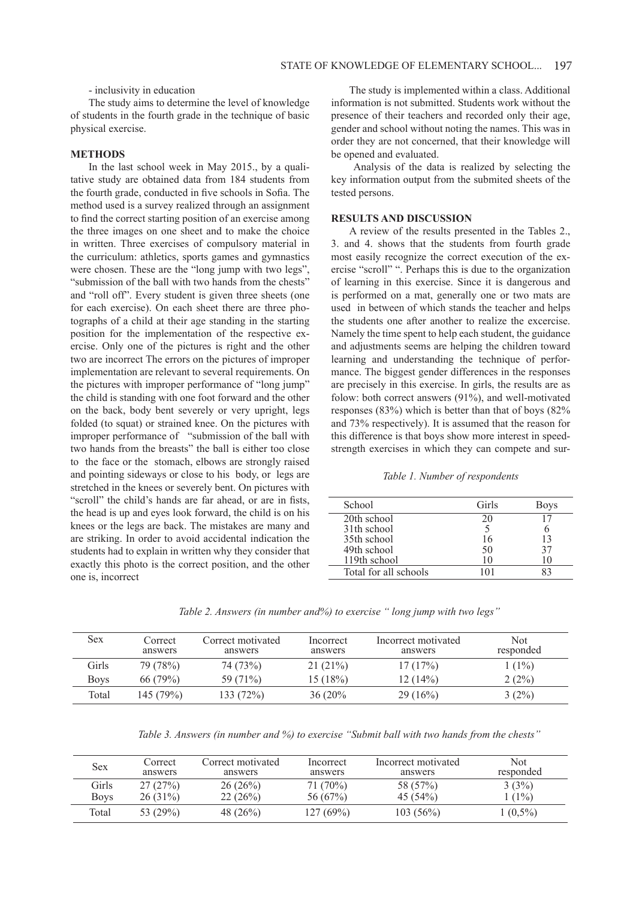- inclusivity in education

The study aims to determine the level of knowledge of students in the fourth grade in the technique of basic physical exercise.

# **METHODS**

In the last school week in May 2015., by a qualitative study are obtained data from 184 students from the fourth grade, conducted in five schools in Sofia. The method used is a survey realized through an assignment to find the correct starting position of an exercise among the three images on one sheet and to make the choice in written. Three exercises of compulsory material in the curriculum: athletics, sports games and gymnastics were chosen. These are the "long jump with two legs", "submission of the ball with two hands from the chests" and "roll off". Every student is given three sheets (one for each exercise). On each sheet there are three photographs of a child at their age standing in the starting position for the implementation of the respective exercise. Only one of the pictures is right and the other two are incorrect The errors on the pictures of improper implementation are relevant to several requirements. On the pictures with improper performance of "long jump" the child is standing with one foot forward and the other on the back, body bent severely or very upright, legs folded (to squat) or strained knee. On the pictures with improper performance of "submission of the ball with two hands from the breasts" the ball is either too close to the face or the stomach, elbows are strongly raised and pointing sideways or close to his body, or legs are stretched in the knees or severely bent. On pictures with "scroll" the child's hands are far ahead, or are in fists, the head is up and eyes look forward, the child is on his knees or the legs are back. The mistakes are many and are striking. In order to avoid accidental indication the students had to explain in written why they consider that exactly this photo is the correct position, and the other one is, incorrect

The study is implemented within a class. Additional information is not submitted. Students work without the presence of their teachers and recorded only their age, gender and school without noting the names. This was in order they are not concerned, that their knowledge will be opened and evaluated.

 Analysis of the data is realized by selecting the key information output from the submited sheets of the tested persons.

# **RESULTS AND DISCUSSION**

A review of the results presented in the Tables 2., 3. and 4. shows that the students from fourth grade most easily recognize the correct execution of the exercise "scroll" ". Perhaps this is due to the organization of learning in this exercise. Since it is dangerous and is performed on a mat, generally one or two mats are used in between of which stands the teacher and helps the students one after another to realize the excercise. Namely the time spent to help each student, the guidance and adjustments seems are helping the children toward learning and understanding the technique of performance. The biggest gender differences in the responses are precisely in this exercise. In girls, the results are as folow: both correct answers (91%), and well-motivated responses (83%) which is better than that of boys (82% and 73% respectively). It is assumed that the reason for this difference is that boys show more interest in speedstrength exercises in which they can compete and sur-

## *Table 1. Number of respondents*

| School                | Girls | <b>Boys</b> |
|-----------------------|-------|-------------|
| 20th school           | 20    |             |
| 31th school           |       |             |
| 35th school           |       |             |
| 49th school           | 50    |             |
| 119th school          | 10    |             |
| Total for all schools | 101   |             |

*Table 2. Answers (in number and%) to exercise " long jump with two legs"*

| <b>Sex</b>  | Correct<br>answers | Correct motivated<br>answers | Incorrect<br>answers | Incorrect motivated<br>answers | Not<br>responded |
|-------------|--------------------|------------------------------|----------------------|--------------------------------|------------------|
| Girls       | 79 (78%)           | 74 (73%)                     | $21(21\%)$           | 17(17%)                        | $1(1\%)$         |
| <b>Boys</b> | 66(79%)            | 59 (71%)                     | 15 (18%)             | 12(14%)                        | 2(2%)            |
| Total       | 145 (79%)          | 133 (72%)                    | $36(20\%$            | 29(16%)                        | $3(2\%)$         |

*Table 3. Answers (in number and %) to exercise "Submit ball with two hands from the chests"*

| Sex         | Correct<br>answers | Correct motivated<br>answers | Incorrect<br>answers | Incorrect motivated<br>answers | Not<br>responded |
|-------------|--------------------|------------------------------|----------------------|--------------------------------|------------------|
| Girls       | 27(27%)            | 26(26%)                      | 71 (70%)             | 58 (57%)                       | 3(3%)            |
| <b>Boys</b> | $26(31\%)$         | 22(26%)                      | 56 (67%)             | $45(54\%)$                     | $1(1\%)$         |
| Total       | 53 (29%)           | 48 $(26%)$                   | 127(69%)             | $103(56\%)$                    | $1(0,5\%)$       |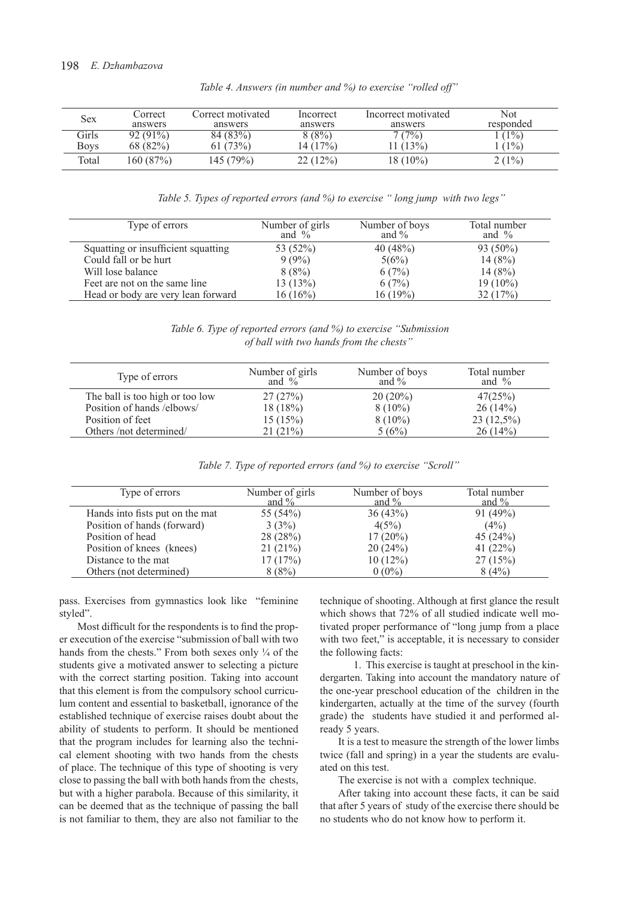| Sex   | Correct    | Correct motivated | Incorrect | Incorrect motivated | Not       |
|-------|------------|-------------------|-----------|---------------------|-----------|
|       | answers    | answers           | answers   | answers             | responded |
| Girls | $92(91\%)$ | 84 (83%)          | 8(8%)     | 7(7%)               | $(1\%)$   |
| Boys  | 68 (82%)   | (73%)             | 14 (17%)  | $(1.13\%)$          | $1\%$     |
| Total | 160 (87%)  | 145 (79%)         | 22(12%)   | $18(10\%)$          | $2(1\%)$  |

*Table 4. Answers (in number and %) to exercise "rolled off"* 

 *Table 5. Types of reported errors (and %) to exercise " long jump with two legs"*

| Type of errors                      | Number of girls<br>and $\%$ | Number of boys<br>and $\%$ | Total number<br>and $\%$ |
|-------------------------------------|-----------------------------|----------------------------|--------------------------|
| Squatting or insufficient squatting | 53 (52%)                    | 40(48%)                    | 93 (50%)                 |
| Could fall or be hurt               | $9(9\%)$                    | 5(6%)                      | 14(8%)                   |
| Will lose balance                   | 8(8%)                       | 6(7%)                      | 14(8%)                   |
| Feet are not on the same line       | 13(13%)                     | 6(7%)                      | $19(10\%)$               |
| Head or body are very lean forward  | $16(16\%)$                  | 16 (19%)                   | 32(17%)                  |

*Table 6. Type of reported errors (and %) to exercise "Submission of ball with two hands from the chests"*

| Type of errors                  | Number of girls<br>and $\%$ | Number of boys<br>and $\%$ | Total number<br>and $\%$ |
|---------------------------------|-----------------------------|----------------------------|--------------------------|
| The ball is too high or too low | 27(27%)                     | $20(20\%)$                 | 47(25%)                  |
| Position of hands /elbows/      | 18(18%)                     | $8(10\%)$                  | 26(14%)                  |
| Position of feet                | 15(15%)                     | $8(10\%)$                  | $23(12,5\%)$             |
| Others/not determined/          | 21(21%)                     | 5(6%)                      | 26(14%)                  |

| Table 7. Type of reported errors (and %) to exercise "Scroll" |  |  |
|---------------------------------------------------------------|--|--|
|---------------------------------------------------------------|--|--|

| Type of errors                  | Number of girls<br>and $\%$ | Number of boys<br>and $\%$ | Total number<br>and $\%$ |
|---------------------------------|-----------------------------|----------------------------|--------------------------|
| Hands into fists put on the mat | 55 (54%)                    | 36(43%)                    | 91(49%)                  |
| Position of hands (forward)     | 3(3%)                       | 4(5%)                      | (4%)                     |
| Position of head                | 28(28%)                     | $17(20\%)$                 | 45 $(24%)$               |
| Position of knees (knees)       | 21(21%)                     | 20(24%)                    | 41 $(22%)$               |
| Distance to the mat             | 17(17%)                     | 10(12%)                    | 27(15%)                  |
| Others (not determined)         | 8(8%)                       | $0(0\%)$                   | 8(4%)                    |

pass. Exercises from gymnastics look like "feminine styled".

Most difficult for the respondents is to find the proper execution of the exercise "submission of ball with two hands from the chests." From both sexes only  $\frac{1}{4}$  of the students give a motivated answer to selecting a picture with the correct starting position. Taking into account that this element is from the compulsory school curriculum content and essential to basketball, ignorance of the established technique of exercise raises doubt about the ability of students to perform. It should be mentioned that the program includes for learning also the technical element shooting with two hands from the chests of place. The technique of this type of shooting is very close to passing the ball with both hands from the chests, but with a higher parabola. Because of this similarity, it can be deemed that as the technique of passing the ball is not familiar to them, they are also not familiar to the

technique of shooting. Although at first glance the result which shows that 72% of all studied indicate well motivated proper performance of "long jump from a place with two feet," is acceptable, it is necessary to consider the following facts:

 1. This exercise is taught at preschool in the kindergarten. Taking into account the mandatory nature of the one-year preschool education of the children in the kindergarten, actually at the time of the survey (fourth grade) the students have studied it and performed already 5 years.

It is a test to measure the strength of the lower limbs twice (fall and spring) in a year the students are evaluated on this test.

The exercise is not with a complex technique.

After taking into account these facts, it can be said that after 5 years of study of the exercise there should be no students who do not know how to perform it.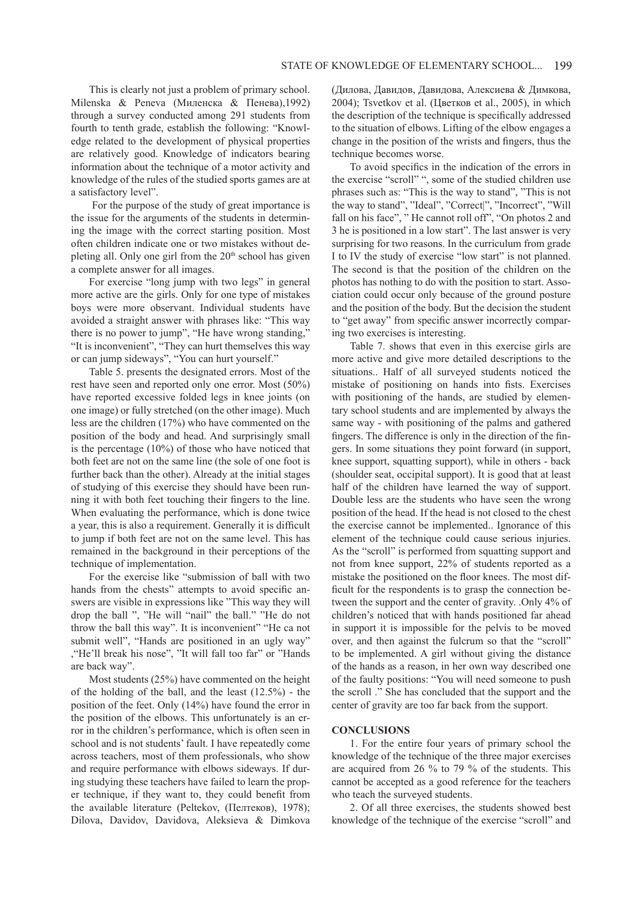This is clearly not just a problem of primary school. Milenska & Peneva (Миленска & Пенева),1992) through a survey conducted among 291 students from fourth to tenth grade, establish the following: "Knowledge related to the development of physical properties are relatively good. Knowledge of indicators bearing information about the technique of a motor activity and knowledge of the rules of the studied sports games are at a satisfactory level".

 For the purpose of the study of great importance is the issue for the arguments of the students in determining the image with the correct starting position. Most often children indicate one or two mistakes without depleting all. Only one girl from the  $20<sup>th</sup>$  school has given a complete answer for all images.

For exercise "long jump with two legs" in general more active are the girls. Only for one type of mistakes boys were more observant. Individual students have avoided a straight answer with phrases like: "This way there is no power to jump", "He have wrong standing," "It is inconvenient", "They can hurt themselves this way or can jump sideways", "You can hurt yourself."

Table 5. presents the designated errors. Most of the rest have seen and reported only one error. Most (50%) have reported excessive folded legs in knee joints (on one image) or fully stretched (on the other image). Much less are the children (17%) who have commented on the position of the body and head. And surprisingly small is the percentage (10%) of those who have noticed that both feet are not on the same line (the sole of one foot is further back than the other). Already at the initial stages of studying of this exercise they should have been running it with both feet touching their fingers to the line. When evaluating the performance, which is done twice a year, this is also a requirement. Generally it is difficult to jump if both feet are not on the same level. This has remained in the background in their perceptions of the technique of implementation.

For the exercise like "submission of ball with two hands from the chests" attempts to avoid specific answers are visible in expressions like "This way they will drop the ball ", "He will "nail" the ball." "He do not throw the ball this way". It is inconvenient" "He ca not submit well", "Hands are positioned in an ugly way" ,"He'll break his nose", "It will fall too far" or "Hands are back way".

Most students (25%) have commented on the height of the holding of the ball, and the least (12.5%) - the position of the feet. Only (14%) have found the error in the position of the elbows. This unfortunately is an error in the children's performance, which is often seen in school and is not students' fault. I have repeatedly come across teachers, most of them professionals, who show and require performance with elbows sideways. If during studying these teachers have failed to learn the proper technique, if they want to, they could benefit from the available literature (Peltekov, (Пелтеков), 1978); Dilova, Davidov, Davidova, Aleksieva & Dimkova (Дилова, Давидов, Давидова, Алексиева & Димкова, 2004); Tsvetkov et al. (Цветков et al., 2005), in which the description of the technique is specifically addressed to the situation of elbows. Lifting of the elbow engages a change in the position of the wrists and fingers, thus the technique becomes worse.

To avoid specifics in the indication of the errors in the exercise "scroll" ", some of the studied children use phrases such as: "This is the way to stand", "This is not the way to stand", "Ideal", "Correct|", "Incorrect", "Will fall on his face", " He cannot roll off", "On photos 2 and 3 he is positioned in a low start". The last answer is very surprising for two reasons. In the curriculum from grade I to IV the study of exercise "low start" is not planned. The second is that the position of the children on the photos has nothing to do with the position to start. Association could occur only because of the ground posture and the position of the body. But the decision the student to "get away" from specific answer incorrectly comparing two exercises is interesting.

Table 7. shows that even in this exercise girls are more active and give more detailed descriptions to the situations.. Half of all surveyed students noticed the mistake of positioning on hands into fists. Exercises with positioning of the hands, are studied by elementary school students and are implemented by always the same way - with positioning of the palms and gathered fingers. The difference is only in the direction of the fingers. In some situations they point forward (in support, knee support, squatting support), while in others - back (shoulder seat, occipital support). It is good that at least half of the children have learned the way of support. Double less are the students who have seen the wrong position of the head. If the head is not closed to the chest the exercise cannot be implemented.. Ignorance of this element of the technique could cause serious injuries. As the "scroll" is performed from squatting support and not from knee support, 22% of students reported as a mistake the positioned on the floor knees. The most difficult for the respondents is to grasp the connection between the support and the center of gravity. .Only 4% of children's noticed that with hands positioned far ahead in support it is impossible for the pelvis to be moved over, and then against the fulcrum so that the "scroll" to be implemented. A girl without giving the distance of the hands as a reason, in her own way described one of the faulty positions: "You will need someone to push the scroll ." She has concluded that the support and the center of gravity are too far back from the support.

#### **CONCLUSIONS**

1. For the entire four years of primary school the knowledge of the technique of the three major exercises are acquired from 26 % to 79 % of the students. This cannot be accepted as a good reference for the teachers who teach the surveyed students.

2. Of all three exercises, the students showed best knowledge of the technique of the exercise "scroll" and